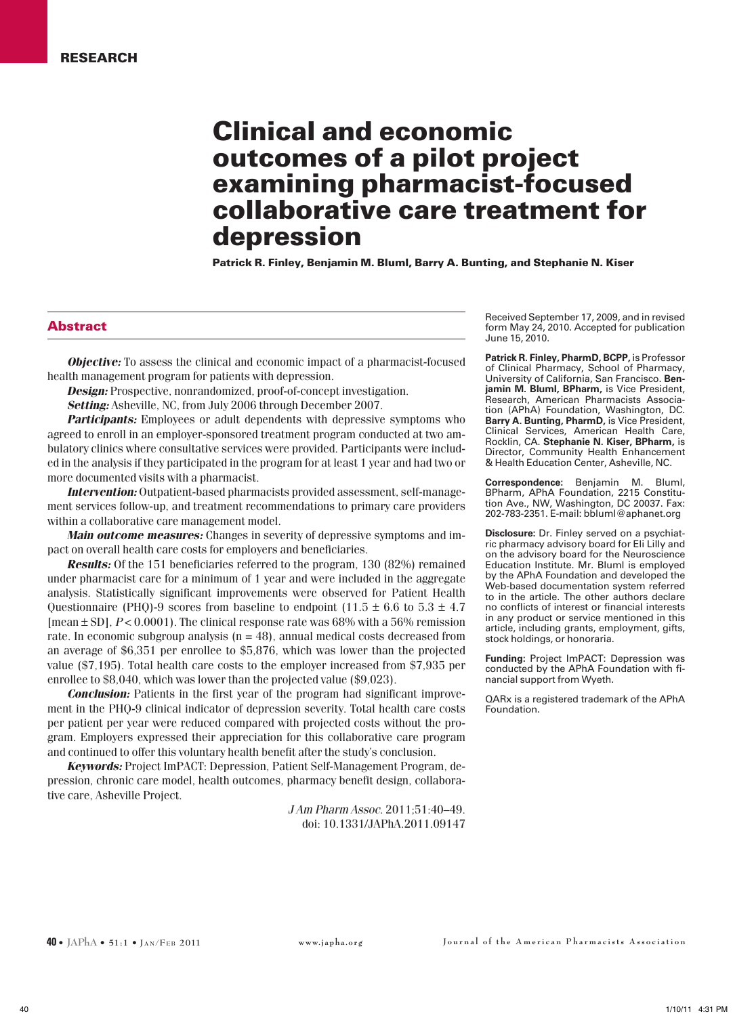# Clinical and economic outcomes of a pilot project examining pharmacist-focused collaborative care treatment for depression

Patrick R. Finley, Benjamin M. Bluml, Barry A. Bunting, and Stephanie N. Kiser

#### Abstract

*Objective:* To assess the clinical and economic impact of a pharmacist-focused health management program for patients with depression.

*Design:* Prospective, nonrandomized, proof-of-concept investigation.

*Setting:* Asheville, NC, from July 2006 through December 2007.

*Participants:* Employees or adult dependents with depressive symptoms who agreed to enroll in an employer-sponsored treatment program conducted at two ambulatory clinics where consultative services were provided. Participants were included in the analysis if they participated in the program for at least 1 year and had two or more documented visits with a pharmacist.

*Intervention:* Outpatient-based pharmacists provided assessment, self-management services follow-up, and treatment recommendations to primary care providers within a collaborative care management model.

*Main outcome measures:* Changes in severity of depressive symptoms and impact on overall health care costs for employers and beneficiaries.

*Results:* Of the 151 beneficiaries referred to the program, 130 (82%) remained under pharmacist care for a minimum of 1 year and were included in the aggregate analysis. Statistically significant improvements were observed for Patient Health Questionnaire (PHQ)-9 scores from baseline to endpoint (11.5  $\pm$  6.6 to 5.3  $\pm$  4.7 [mean ± SD], *P* < 0.0001). The clinical response rate was 68% with a 56% remission rate. In economic subgroup analysis  $(n = 48)$ , annual medical costs decreased from an average of \$6,351 per enrollee to \$5,876, which was lower than the projected value (\$7,195). Total health care costs to the employer increased from \$7,935 per enrollee to \$8,040, which was lower than the projected value (\$9,023).

*Conclusion:* Patients in the first year of the program had significant improvement in the PHQ-9 clinical indicator of depression severity. Total health care costs per patient per year were reduced compared with projected costs without the program. Employers expressed their appreciation for this collaborative care program and continued to offer this voluntary health benefit after the study's conclusion.

*Keywords:* Project ImPACT: Depression, Patient Self-Management Program, depression, chronic care model, health outcomes, pharmacy benefit design, collaborative care, Asheville Project.

> *J Am Pharm Assoc*. 2011;51:40–49. doi: 10.1331/JAPhA.2011.09147

Received September 17, 2009, and in revised form May 24, 2010. Accepted for publication June 15, 2010.

**Patrick R. Finley, PharmD, BCPP,** is Professor of Clinical Pharmacy, School of Pharmacy, University of California, San Francisco. **Benjamin M. Bluml, BPharm,** is Vice President, Research, American Pharmacists Association (APhA) Foundation, Washington, DC. Barry A. Bunting, PharmD, is Vice President, Clinical Services, American Health Care, Rocklin, CA. **Stephanie N. Kiser, BPharm,** is Director, Community Health Enhancement & Health Education Center, Asheville, NC.

**Correspondence:** Benjamin M. Bluml, BPharm, APhA Foundation, 2215 Constitution Ave., NW, Washington, DC 20037. Fax: 202-783-2351. E-mail: bbluml@aphanet.org

**Disclosure:** Dr. Finley served on a psychiatric pharmacy advisory board for Eli Lilly and on the advisory board for the Neuroscience Education Institute. Mr. Bluml is employed by the APhA Foundation and developed the Web-based documentation system referred to in the article. The other authors declare no conflicts of interest or financial interests in any product or service mentioned in this article, including grants, employment, gifts, stock holdings, or honoraria.

**Funding:** Project ImPACT: Depression was conducted by the APhA Foundation with financial support from Wyeth.

QARx is a registered trademark of the APhA Foundation.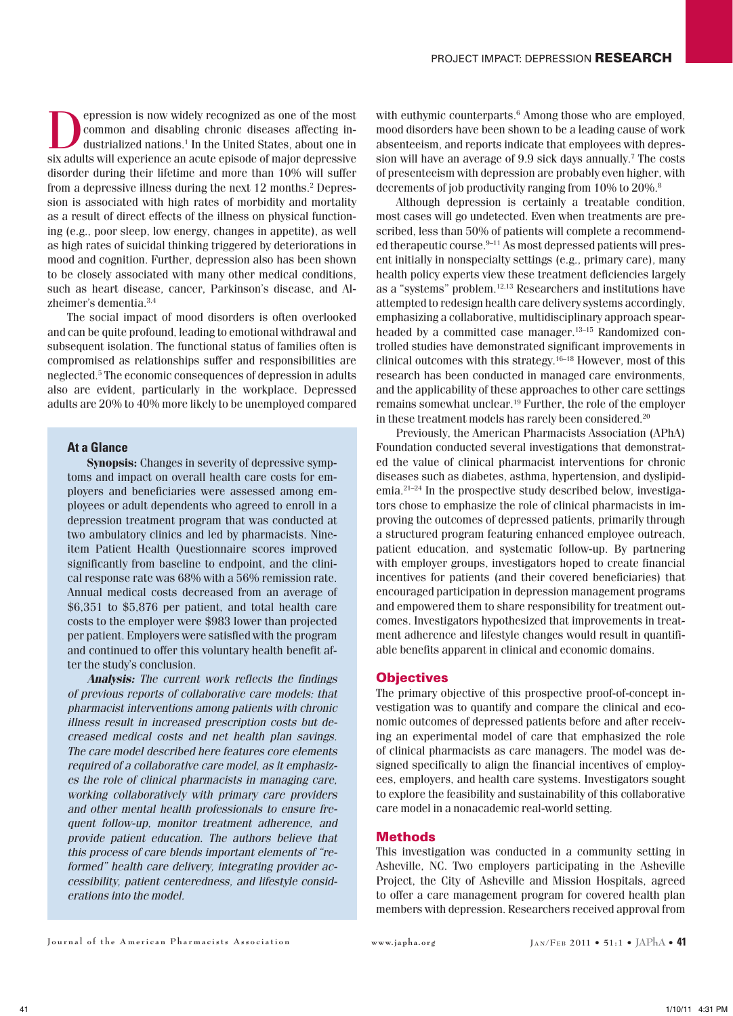epression is now widely recognized as one of the most common and disabling chronic diseases affecting industrialized nations.1 In the United States, about one in six adults will experience an acute episode of major depressive disorder during their lifetime and more than 10% will suffer from a depressive illness during the next 12 months.<sup>2</sup> Depression is associated with high rates of morbidity and mortality as a result of direct effects of the illness on physical functioning (e.g., poor sleep, low energy, changes in appetite), as well as high rates of suicidal thinking triggered by deteriorations in mood and cognition. Further, depression also has been shown to be closely associated with many other medical conditions, such as heart disease, cancer, Parkinson's disease, and Alzheimer's dementia.3,4

The social impact of mood disorders is often overlooked and can be quite profound, leading to emotional withdrawal and subsequent isolation. The functional status of families often is compromised as relationships suffer and responsibilities are neglected.5 The economic consequences of depression in adults also are evident, particularly in the workplace. Depressed adults are 20% to 40% more likely to be unemployed compared

# **At a Glance**

**Synopsis:** Changes in severity of depressive symptoms and impact on overall health care costs for employers and beneficiaries were assessed among employees or adult dependents who agreed to enroll in a depression treatment program that was conducted at two ambulatory clinics and led by pharmacists. Nineitem Patient Health Questionnaire scores improved significantly from baseline to endpoint, and the clinical response rate was 68% with a 56% remission rate. Annual medical costs decreased from an average of \$6,351 to \$5,876 per patient, and total health care costs to the employer were \$983 lower than projected per patient. Employers were satisfied with the program and continued to offer this voluntary health benefit after the study's conclusion.

*Analysis: The current work reflects the findings of previous reports of collaborative care models: that pharmacist interventions among patients with chronic illness result in increased prescription costs but decreased medical costs and net health plan savings. The care model described here features core elements required of a collaborative care model, as it emphasizes the role of clinical pharmacists in managing care, working collaboratively with primary care providers and other mental health professionals to ensure frequent follow-up, monitor treatment adherence, and provide patient education. The authors believe that this process of care blends important elements of "reformed" health care delivery, integrating provider accessibility, patient centeredness, and lifestyle considerations into the model.*

with euthymic counterparts.<sup>6</sup> Among those who are employed, mood disorders have been shown to be a leading cause of work absenteeism, and reports indicate that employees with depression will have an average of 9.9 sick days annually.<sup>7</sup> The costs of presenteeism with depression are probably even higher, with decrements of job productivity ranging from 10% to 20%.<sup>8</sup>

Although depression is certainly a treatable condition, most cases will go undetected. Even when treatments are prescribed, less than 50% of patients will complete a recommended therapeutic course.<sup>9-11</sup> As most depressed patients will present initially in nonspecialty settings (e.g., primary care), many health policy experts view these treatment deficiencies largely as a "systems" problem.12,13 Researchers and institutions have attempted to redesign health care delivery systems accordingly, emphasizing a collaborative, multidisciplinary approach spearheaded by a committed case manager.<sup>13-15</sup> Randomized controlled studies have demonstrated significant improvements in clinical outcomes with this strategy.16–18 However, most of this research has been conducted in managed care environments, and the applicability of these approaches to other care settings remains somewhat unclear.19 Further, the role of the employer in these treatment models has rarely been considered.20

Previously, the American Pharmacists Association (APhA) Foundation conducted several investigations that demonstrated the value of clinical pharmacist interventions for chronic diseases such as diabetes, asthma, hypertension, and dyslipidemia.21–24 In the prospective study described below, investigators chose to emphasize the role of clinical pharmacists in improving the outcomes of depressed patients, primarily through a structured program featuring enhanced employee outreach, patient education, and systematic follow-up. By partnering with employer groups, investigators hoped to create financial incentives for patients (and their covered beneficiaries) that encouraged participation in depression management programs and empowered them to share responsibility for treatment outcomes. Investigators hypothesized that improvements in treatment adherence and lifestyle changes would result in quantifiable benefits apparent in clinical and economic domains.

## **Objectives**

The primary objective of this prospective proof-of-concept investigation was to quantify and compare the clinical and economic outcomes of depressed patients before and after receiving an experimental model of care that emphasized the role of clinical pharmacists as care managers. The model was designed specifically to align the financial incentives of employees, employers, and health care systems. Investigators sought to explore the feasibility and sustainability of this collaborative care model in a nonacademic real-world setting.

#### Methods

This investigation was conducted in a community setting in Asheville, NC. Two employers participating in the Asheville Project, the City of Asheville and Mission Hospitals, agreed to offer a care management program for covered health plan members with depression. Researchers received approval from

**J**ournal of the American Pharmacists Association **www.japha.org** JAN/FEB 2011 • 51:1 • JAPhA • 41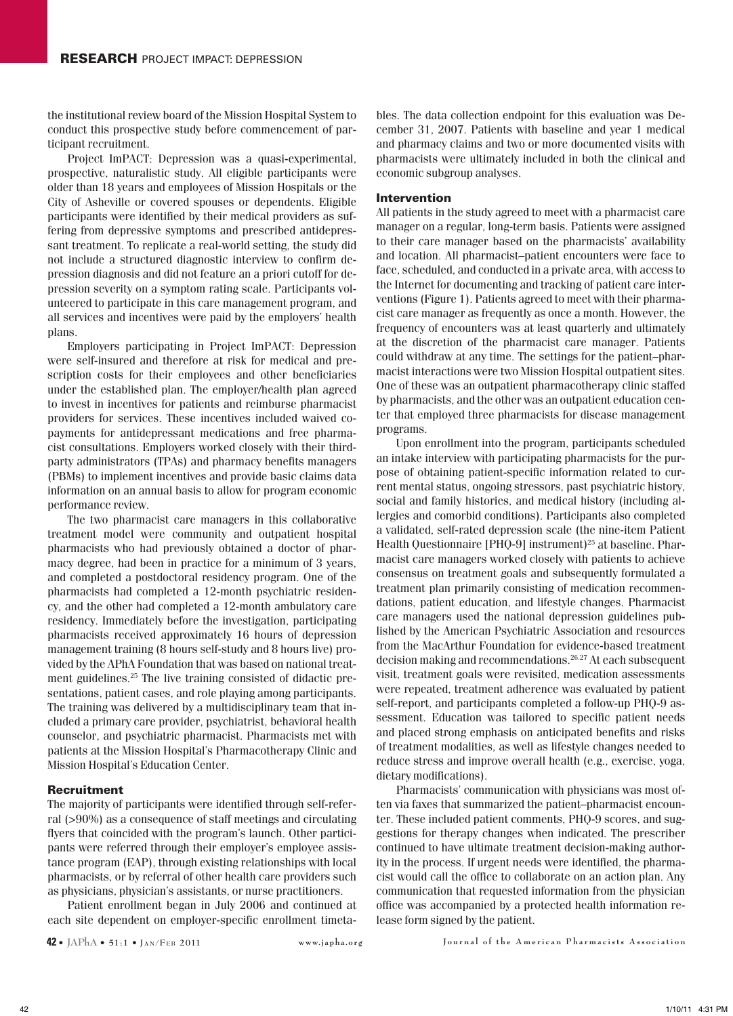the institutional review board of the Mission Hospital System to conduct this prospective study before commencement of participant recruitment.

Project ImPACT: Depression was a quasi-experimental, prospective, naturalistic study. All eligible participants were older than 18 years and employees of Mission Hospitals or the City of Asheville or covered spouses or dependents. Eligible participants were identified by their medical providers as suffering from depressive symptoms and prescribed antidepressant treatment. To replicate a real-world setting, the study did not include a structured diagnostic interview to confirm depression diagnosis and did not feature an a priori cutoff for depression severity on a symptom rating scale. Participants volunteered to participate in this care management program, and all services and incentives were paid by the employers' health plans.

Employers participating in Project ImPACT: Depression were self-insured and therefore at risk for medical and prescription costs for their employees and other beneficiaries under the established plan. The employer/health plan agreed to invest in incentives for patients and reimburse pharmacist providers for services. These incentives included waived copayments for antidepressant medications and free pharmacist consultations. Employers worked closely with their thirdparty administrators (TPAs) and pharmacy benefits managers (PBMs) to implement incentives and provide basic claims data information on an annual basis to allow for program economic performance review.

The two pharmacist care managers in this collaborative treatment model were community and outpatient hospital pharmacists who had previously obtained a doctor of pharmacy degree, had been in practice for a minimum of 3 years, and completed a postdoctoral residency program. One of the pharmacists had completed a 12-month psychiatric residency, and the other had completed a 12-month ambulatory care residency. Immediately before the investigation, participating pharmacists received approximately 16 hours of depression management training (8 hours self-study and 8 hours live) provided by the APhA Foundation that was based on national treatment guidelines.25 The live training consisted of didactic presentations, patient cases, and role playing among participants. The training was delivered by a multidisciplinary team that included a primary care provider, psychiatrist, behavioral health counselor, and psychiatric pharmacist. Pharmacists met with patients at the Mission Hospital's Pharmacotherapy Clinic and Mission Hospital's Education Center.

#### Recruitment

The majority of participants were identified through self-referral (>90%) as a consequence of staff meetings and circulating flyers that coincided with the program's launch. Other participants were referred through their employer's employee assistance program (EAP), through existing relationships with local pharmacists, or by referral of other health care providers such as physicians, physician's assistants, or nurse practitioners.

Patient enrollment began in July 2006 and continued at each site dependent on employer-specific enrollment timeta-

bles. The data collection endpoint for this evaluation was December 31, 2007. Patients with baseline and year 1 medical and pharmacy claims and two or more documented visits with pharmacists were ultimately included in both the clinical and economic subgroup analyses.

#### Intervention

All patients in the study agreed to meet with a pharmacist care manager on a regular, long-term basis. Patients were assigned to their care manager based on the pharmacists' availability and location. All pharmacist–patient encounters were face to face, scheduled, and conducted in a private area, with access to the Internet for documenting and tracking of patient care interventions (Figure 1). Patients agreed to meet with their pharmacist care manager as frequently as once a month. However, the frequency of encounters was at least quarterly and ultimately at the discretion of the pharmacist care manager. Patients could withdraw at any time. The settings for the patient–pharmacist interactions were two Mission Hospital outpatient sites. One of these was an outpatient pharmacotherapy clinic staffed by pharmacists, and the other was an outpatient education center that employed three pharmacists for disease management programs.

Upon enrollment into the program, participants scheduled an intake interview with participating pharmacists for the purpose of obtaining patient-specific information related to current mental status, ongoing stressors, past psychiatric history, social and family histories, and medical history (including allergies and comorbid conditions). Participants also completed a validated, self-rated depression scale (the nine-item Patient Health Questionnaire [PHQ-9] instrument)<sup>25</sup> at baseline. Pharmacist care managers worked closely with patients to achieve consensus on treatment goals and subsequently formulated a treatment plan primarily consisting of medication recommendations, patient education, and lifestyle changes. Pharmacist care managers used the national depression guidelines published by the American Psychiatric Association and resources from the MacArthur Foundation for evidence-based treatment decision making and recommendations.26,27 At each subsequent visit, treatment goals were revisited, medication assessments were repeated, treatment adherence was evaluated by patient self-report, and participants completed a follow-up PHQ-9 assessment. Education was tailored to specific patient needs and placed strong emphasis on anticipated benefits and risks of treatment modalities, as well as lifestyle changes needed to reduce stress and improve overall health (e.g., exercise, yoga, dietary modifications).

Pharmacists' communication with physicians was most often via faxes that summarized the patient–pharmacist encounter. These included patient comments, PHQ-9 scores, and suggestions for therapy changes when indicated. The prescriber continued to have ultimate treatment decision-making authority in the process. If urgent needs were identified, the pharmacist would call the office to collaborate on an action plan. Any communication that requested information from the physician office was accompanied by a protected health information release form signed by the patient.

**42 •** JAPhA • 51:1 • Jan/FEB 2011 www.japha.org Journal of the American Pharmacists Association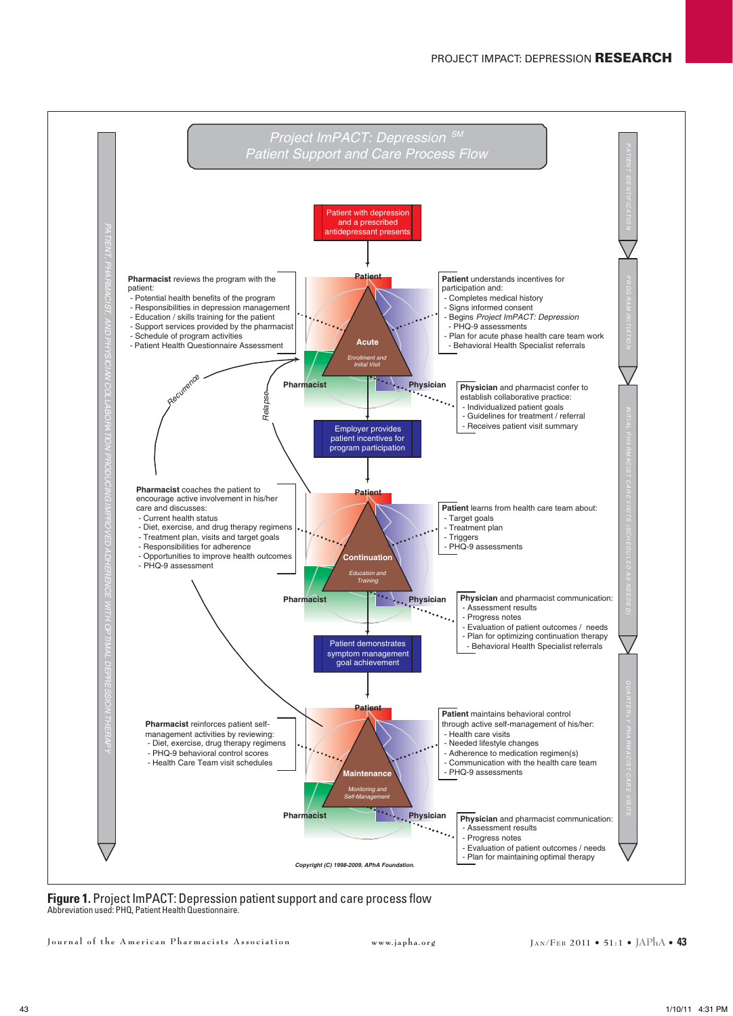

**Figure 1.** Project ImPACT: Depression patient support and care process flow Abbreviation used: PHQ, Patient Health Questionnaire.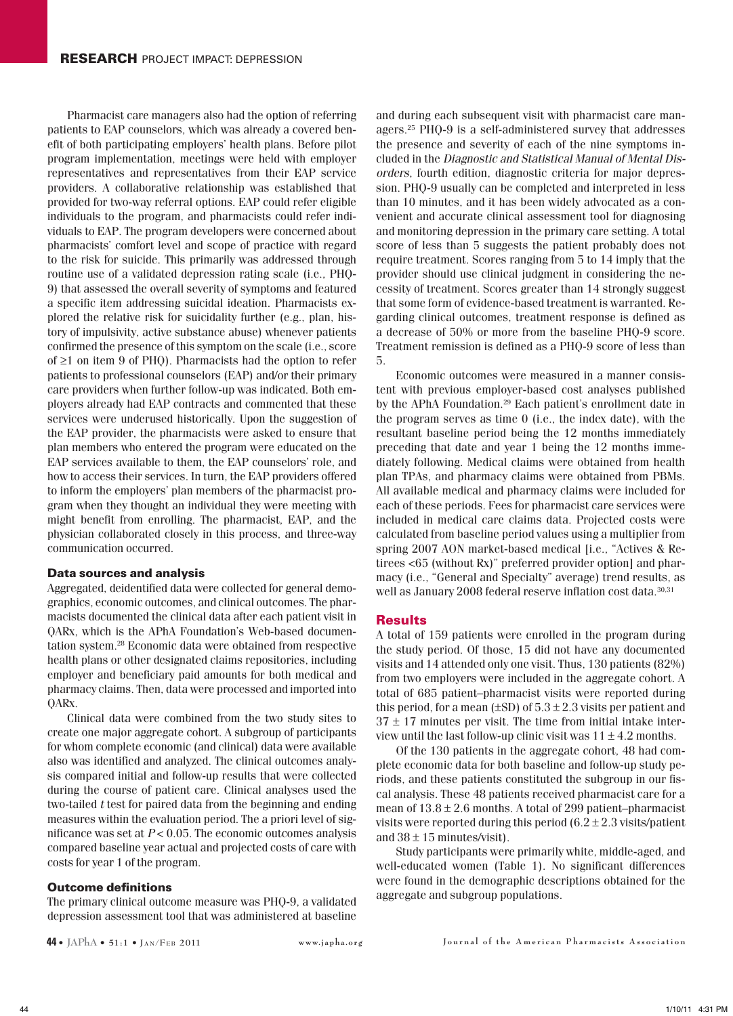Pharmacist care managers also had the option of referring patients to EAP counselors, which was already a covered benefit of both participating employers' health plans. Before pilot program implementation, meetings were held with employer representatives and representatives from their EAP service providers. A collaborative relationship was established that provided for two-way referral options. EAP could refer eligible individuals to the program, and pharmacists could refer individuals to EAP. The program developers were concerned about pharmacists' comfort level and scope of practice with regard to the risk for suicide. This primarily was addressed through routine use of a validated depression rating scale (i.e., PHQ-9) that assessed the overall severity of symptoms and featured a specific item addressing suicidal ideation. Pharmacists explored the relative risk for suicidality further (e.g., plan, history of impulsivity, active substance abuse) whenever patients confirmed the presence of this symptom on the scale (i.e., score of ≥1 on item 9 of PHQ). Pharmacists had the option to refer patients to professional counselors (EAP) and/or their primary care providers when further follow-up was indicated. Both employers already had EAP contracts and commented that these services were underused historically. Upon the suggestion of the EAP provider, the pharmacists were asked to ensure that plan members who entered the program were educated on the EAP services available to them, the EAP counselors' role, and how to access their services. In turn, the EAP providers offered to inform the employers' plan members of the pharmacist program when they thought an individual they were meeting with might benefit from enrolling. The pharmacist, EAP, and the physician collaborated closely in this process, and three-way communication occurred.

### Data sources and analysis

Aggregated, deidentified data were collected for general demographics, economic outcomes, and clinical outcomes. The pharmacists documented the clinical data after each patient visit in QARx, which is the APhA Foundation's Web-based documentation system.28 Economic data were obtained from respective health plans or other designated claims repositories, including employer and beneficiary paid amounts for both medical and pharmacy claims. Then, data were processed and imported into QARx.

Clinical data were combined from the two study sites to create one major aggregate cohort. A subgroup of participants for whom complete economic (and clinical) data were available also was identified and analyzed. The clinical outcomes analysis compared initial and follow-up results that were collected during the course of patient care. Clinical analyses used the two-tailed *t* test for paired data from the beginning and ending measures within the evaluation period. The a priori level of significance was set at *P* < 0.05. The economic outcomes analysis compared baseline year actual and projected costs of care with costs for year 1 of the program.

#### Outcome definitions

The primary clinical outcome measure was PHQ-9, a validated depression assessment tool that was administered at baseline

and during each subsequent visit with pharmacist care managers.25 PHQ-9 is a self-administered survey that addresses the presence and severity of each of the nine symptoms included in the *Diagnostic and Statistical Manual of Mental Disorders*, fourth edition, diagnostic criteria for major depression. PHQ-9 usually can be completed and interpreted in less than 10 minutes, and it has been widely advocated as a convenient and accurate clinical assessment tool for diagnosing and monitoring depression in the primary care setting. A total score of less than 5 suggests the patient probably does not require treatment. Scores ranging from 5 to 14 imply that the provider should use clinical judgment in considering the necessity of treatment. Scores greater than 14 strongly suggest that some form of evidence-based treatment is warranted. Regarding clinical outcomes, treatment response is defined as a decrease of 50% or more from the baseline PHQ-9 score. Treatment remission is defined as a PHQ-9 score of less than 5.

Economic outcomes were measured in a manner consistent with previous employer-based cost analyses published by the APhA Foundation.29 Each patient's enrollment date in the program serves as time 0 (i.e., the index date), with the resultant baseline period being the 12 months immediately preceding that date and year 1 being the 12 months immediately following. Medical claims were obtained from health plan TPAs, and pharmacy claims were obtained from PBMs. All available medical and pharmacy claims were included for each of these periods. Fees for pharmacist care services were included in medical care claims data. Projected costs were calculated from baseline period values using a multiplier from spring 2007 AON market-based medical [i.e., "Actives & Retirees <65 (without Rx)" preferred provider option] and pharmacy (i.e., "General and Specialty" average) trend results, as well as January 2008 federal reserve inflation cost data.<sup>30,31</sup>

#### Results

A total of 159 patients were enrolled in the program during the study period. Of those, 15 did not have any documented visits and 14 attended only one visit. Thus, 130 patients (82%) from two employers were included in the aggregate cohort. A total of 685 patient–pharmacist visits were reported during this period, for a mean  $(\pm SD)$  of  $5.3 \pm 2.3$  visits per patient and  $37 \pm 17$  minutes per visit. The time from initial intake interview until the last follow-up clinic visit was  $11 \pm 4.2$  months.

Of the 130 patients in the aggregate cohort, 48 had complete economic data for both baseline and follow-up study periods, and these patients constituted the subgroup in our fiscal analysis. These 48 patients received pharmacist care for a mean of  $13.8 \pm 2.6$  months. A total of 299 patient–pharmacist visits were reported during this period  $(6.2 \pm 2.3 \text{ visits/patient})$ and  $38 \pm 15$  minutes/visit).

Study participants were primarily white, middle-aged, and well-educated women (Table 1). No significant differences were found in the demographic descriptions obtained for the aggregate and subgroup populations.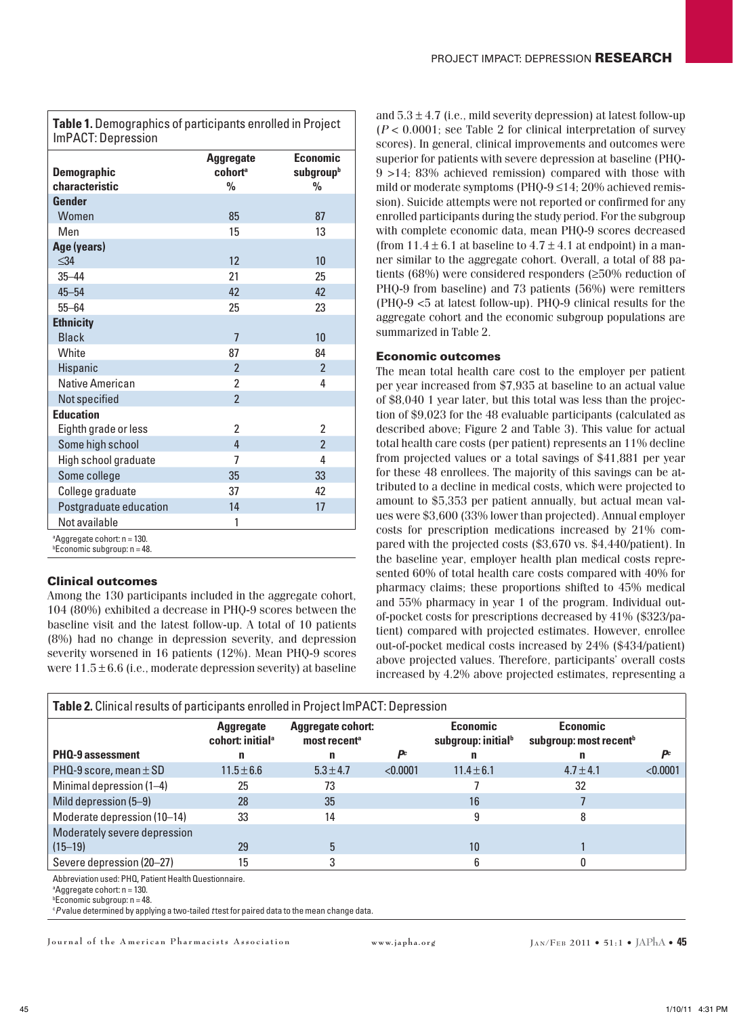**Table 1.** Demographics of participants enrolled in Project ImPACT: Depression

| <b>Demographic</b><br>characteristic                                               | <b>Aggregate</b><br>cohort <sup>a</sup><br>$\frac{0}{0}$ | Economic<br>subgroupb<br>$\frac{0}{0}$ |
|------------------------------------------------------------------------------------|----------------------------------------------------------|----------------------------------------|
| Gender                                                                             |                                                          |                                        |
| Women                                                                              | 85                                                       | 87                                     |
| Men                                                                                | 15                                                       | 13                                     |
| Age (years)<br>$\leq$ 34                                                           | 12                                                       | 10                                     |
| $35 - 44$                                                                          | 21                                                       | 25                                     |
| $45 - 54$                                                                          | 42                                                       | 42                                     |
| $55 - 64$                                                                          | 25                                                       | 23                                     |
| <b>Ethnicity</b>                                                                   |                                                          |                                        |
| <b>Black</b>                                                                       | $\overline{7}$                                           | 10                                     |
| White                                                                              | 87                                                       | 84                                     |
| Hispanic                                                                           | $\overline{2}$                                           | $\overline{2}$                         |
| Native American                                                                    | $\overline{2}$                                           | 4                                      |
| Not specified                                                                      | $\overline{2}$                                           |                                        |
| <b>Education</b>                                                                   |                                                          |                                        |
| Eighth grade or less                                                               | 2                                                        | $\mathfrak z$                          |
| Some high school                                                                   | 4                                                        | $\overline{2}$                         |
| High school graduate                                                               | 7                                                        | 4                                      |
| Some college                                                                       | 35                                                       | 33                                     |
| College graduate                                                                   | 37                                                       | 42                                     |
| Postgraduate education                                                             | 14                                                       | 17                                     |
| Not available                                                                      | 1                                                        |                                        |
| <sup>a</sup> Aggregate cohort: n = 130.<br><sup>b</sup> Economic subgroup: n = 48. |                                                          |                                        |

## Clinical outcomes

Among the 130 participants included in the aggregate cohort, 104 (80%) exhibited a decrease in PHQ-9 scores between the baseline visit and the latest follow-up. A total of 10 patients (8%) had no change in depression severity, and depression severity worsened in 16 patients (12%). Mean PHQ-9 scores were  $11.5 \pm 6.6$  (i.e., moderate depression severity) at baseline

and  $5.3 \pm 4.7$  (i.e., mild severity depression) at latest follow-up (*P* < 0.0001; see Table 2 for clinical interpretation of survey scores). In general, clinical improvements and outcomes were superior for patients with severe depression at baseline (PHQ-9 >14; 83% achieved remission) compared with those with mild or moderate symptoms (PHQ-9 ≤14; 20% achieved remission). Suicide attempts were not reported or confirmed for any enrolled participants during the study period. For the subgroup with complete economic data, mean PHQ-9 scores decreased (from  $11.4 \pm 6.1$  at baseline to  $4.7 \pm 4.1$  at endpoint) in a manner similar to the aggregate cohort. Overall, a total of 88 patients (68%) were considered responders (≥50% reduction of PHQ-9 from baseline) and 73 patients (56%) were remitters (PHQ-9 <5 at latest follow-up). PHQ-9 clinical results for the aggregate cohort and the economic subgroup populations are summarized in Table 2.

## Economic outcomes

The mean total health care cost to the employer per patient per year increased from \$7,935 at baseline to an actual value of \$8,040 1 year later, but this total was less than the projection of \$9,023 for the 48 evaluable participants (calculated as described above; Figure 2 and Table 3). This value for actual total health care costs (per patient) represents an 11% decline from projected values or a total savings of \$41,881 per year for these 48 enrollees. The majority of this savings can be attributed to a decline in medical costs, which were projected to amount to \$5,353 per patient annually, but actual mean values were \$3,600 (33% lower than projected). Annual employer costs for prescription medications increased by 21% compared with the projected costs (\$3,670 vs. \$4,440/patient). In the baseline year, employer health plan medical costs represented 60% of total health care costs compared with 40% for pharmacy claims; these proportions shifted to 45% medical and 55% pharmacy in year 1 of the program. Individual outof-pocket costs for prescriptions decreased by 41% (\$323/patient) compared with projected estimates. However, enrollee out-of-pocket medical costs increased by 24% (\$434/patient) above projected values. Therefore, participants' overall costs increased by 4.2% above projected estimates, representing a

| <b>Table 2.</b> Clinical results of participants enrolled in Project ImPACT: Depression | <b>Aggregate</b><br>cohort: initial <sup>a</sup> | <b>Aggregate cohort:</b><br>most recent <sup>a</sup> |          | <b>Economic</b><br>subgroup: initial <sup>b</sup> | <b>Economic</b><br>subgroup: most recent <sup>b</sup> |          |
|-----------------------------------------------------------------------------------------|--------------------------------------------------|------------------------------------------------------|----------|---------------------------------------------------|-------------------------------------------------------|----------|
| PHQ-9 assessment                                                                        | n                                                | n                                                    | Dc       |                                                   | n                                                     |          |
| PHQ-9 score, mean $\pm$ SD                                                              | $11.5 \pm 6.6$                                   | $5.3 \pm 4.7$                                        | < 0.0001 | $11.4 \pm 6.1$                                    | $4.7 \pm 4.1$                                         | < 0.0001 |
| Minimal depression (1-4)                                                                | 25                                               | 73                                                   |          |                                                   | 32                                                    |          |
| Mild depression (5–9)                                                                   | 28                                               | 35                                                   |          | 16                                                |                                                       |          |
| Moderate depression (10-14)                                                             | 33                                               | 14                                                   |          |                                                   |                                                       |          |
| Moderately severe depression                                                            |                                                  |                                                      |          |                                                   |                                                       |          |
| $(15 - 19)$                                                                             | 29                                               |                                                      |          | 10                                                |                                                       |          |
| Severe depression (20-27)                                                               | 15                                               |                                                      |          |                                                   |                                                       |          |

Abbreviation used: PHQ, Patient Health Questionnaire.

a Aggregate cohort: n = 130.

b Economic subgroup: n = 48.

c *P* value determined by applying a two-tailed *t* test for paired data to the mean change data.

**J o u r n a l o f t h e A m e r i c a n P h a r m a c i s t s A s s o c i a t i o n www.japha.org Ja n/Fe b 2011 • 51:1 • JAPhA • 45**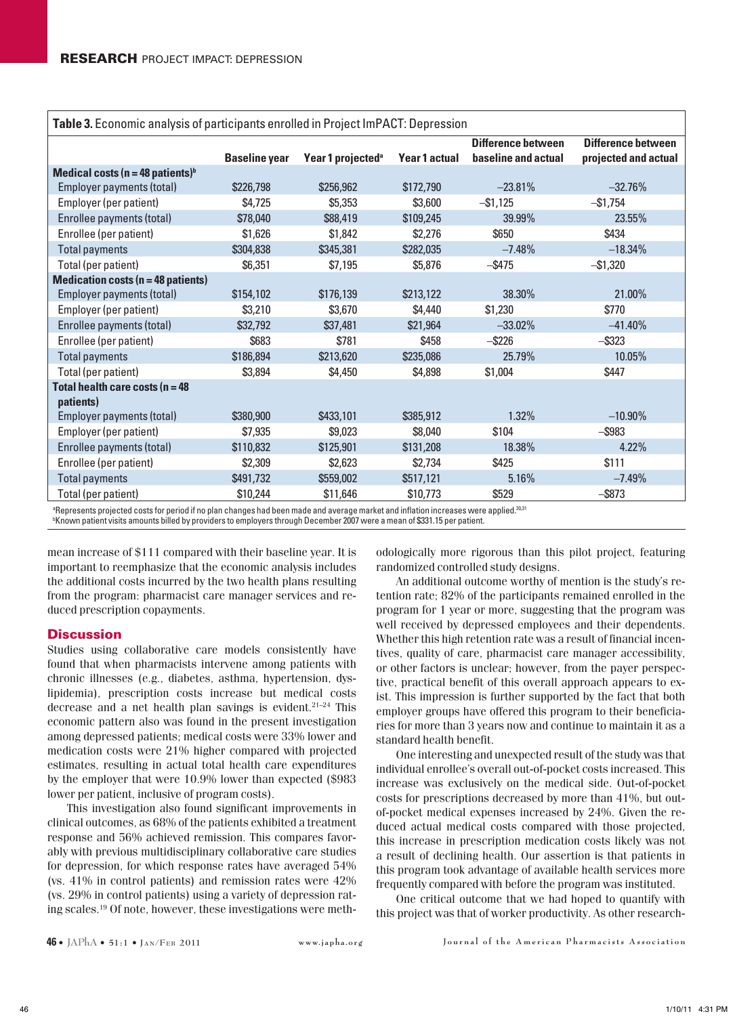| Table 3. Economic analysis of participants enrolled in Project ImPACT: Depression                                                     |                      |                               |               |                                           |                                                   |  |  |
|---------------------------------------------------------------------------------------------------------------------------------------|----------------------|-------------------------------|---------------|-------------------------------------------|---------------------------------------------------|--|--|
|                                                                                                                                       | <b>Baseline year</b> | Year 1 projected <sup>a</sup> | Year 1 actual | Difference between<br>baseline and actual | <b>Difference between</b><br>projected and actual |  |  |
| Medical costs ( $n = 48$ patients) <sup>b</sup>                                                                                       |                      |                               |               |                                           |                                                   |  |  |
| Employer payments (total)                                                                                                             | \$226,798            | \$256,962                     | \$172,790     | $-23.81%$                                 | $-32.76%$                                         |  |  |
| Employer (per patient)                                                                                                                | \$4,725              | \$5,353                       | \$3,600       | $-$ \$1,125                               | $-$1,754$                                         |  |  |
| Enrollee payments (total)                                                                                                             | \$78,040             | \$88,419                      | \$109,245     | 39.99%                                    | 23.55%                                            |  |  |
| Enrollee (per patient)                                                                                                                | \$1,626              | \$1,842                       | \$2,276       | \$650                                     | \$434                                             |  |  |
| <b>Total payments</b>                                                                                                                 | \$304,838            | \$345,381                     | \$282,035     | $-7.48%$                                  | $-18.34%$                                         |  |  |
| Total (per patient)                                                                                                                   | \$6,351              | \$7,195                       | \$5,876       | $-$ \$475                                 | $-$ \$1,320                                       |  |  |
| <b>Medication costs (n = 48 patients)</b>                                                                                             |                      |                               |               |                                           |                                                   |  |  |
| Employer payments (total)                                                                                                             | \$154,102            | \$176,139                     | \$213,122     | 38.30%                                    | 21.00%                                            |  |  |
| Employer (per patient)                                                                                                                | \$3,210              | \$3,670                       | \$4,440       | \$1,230                                   | \$770                                             |  |  |
| Enrollee payments (total)                                                                                                             | \$32,792             | \$37,481                      | \$21,964      | $-33.02%$                                 | $-41.40%$                                         |  |  |
| Enrollee (per patient)                                                                                                                | \$683                | \$781                         | \$458         | $-$ \$226                                 | $-$ \$323                                         |  |  |
| <b>Total payments</b>                                                                                                                 | \$186,894            | \$213,620                     | \$235,086     | 25.79%                                    | 10.05%                                            |  |  |
| Total (per patient)                                                                                                                   | \$3,894              | \$4,450                       | \$4,898       | \$1,004                                   | \$447                                             |  |  |
| Total health care costs ( $n = 48$                                                                                                    |                      |                               |               |                                           |                                                   |  |  |
| patients)                                                                                                                             |                      |                               |               |                                           |                                                   |  |  |
| Employer payments (total)                                                                                                             | \$380,900            | \$433,101                     | \$385,912     | 1.32%                                     | $-10.90\%$                                        |  |  |
| Employer (per patient)                                                                                                                | \$7,935              | \$9,023                       | \$8,040       | \$104                                     | $-$ \$983                                         |  |  |
| Enrollee payments (total)                                                                                                             | \$110,832            | \$125,901                     | \$131,208     | 18.38%                                    | 4.22%                                             |  |  |
| Enrollee (per patient)                                                                                                                | \$2,309              | \$2,623                       | \$2,734       | \$425                                     | \$111                                             |  |  |
| <b>Total payments</b>                                                                                                                 | \$491,732            | \$559,002                     | \$517,121     | 5.16%                                     | $-7.49%$                                          |  |  |
| Total (per patient)                                                                                                                   | \$10,244             | \$11,646                      | \$10,773      | \$529                                     | $-$ \$873                                         |  |  |
| a Represents projected costs for period if no plan changes bad been made and average market and inflation increases were applied 3031 |                      |                               |               |                                           |                                                   |  |  |

Represents projected costs for period if no plan changes had been made and average market and inflation increases were applied. $^{\rm !}$ b Known patient visits amounts billed by providers to employers through December 2007 were a mean of \$331.15 per patient.

mean increase of \$111 compared with their baseline year. It is important to reemphasize that the economic analysis includes the additional costs incurred by the two health plans resulting from the program: pharmacist care manager services and reduced prescription copayments.

## **Discussion**

Studies using collaborative care models consistently have found that when pharmacists intervene among patients with chronic illnesses (e.g., diabetes, asthma, hypertension, dyslipidemia), prescription costs increase but medical costs decrease and a net health plan savings is evident.<sup>21–24</sup> This economic pattern also was found in the present investigation among depressed patients; medical costs were 33% lower and medication costs were 21% higher compared with projected estimates, resulting in actual total health care expenditures by the employer that were 10.9% lower than expected (\$983 lower per patient, inclusive of program costs).

This investigation also found significant improvements in clinical outcomes, as 68% of the patients exhibited a treatment response and 56% achieved remission. This compares favorably with previous multidisciplinary collaborative care studies for depression, for which response rates have averaged 54% (vs. 41% in control patients) and remission rates were 42% (vs. 29% in control patients) using a variety of depression rating scales.19 Of note, however, these investigations were methodologically more rigorous than this pilot project, featuring randomized controlled study designs.

An additional outcome worthy of mention is the study's retention rate; 82% of the participants remained enrolled in the program for 1 year or more, suggesting that the program was well received by depressed employees and their dependents. Whether this high retention rate was a result of financial incentives, quality of care, pharmacist care manager accessibility, or other factors is unclear; however, from the payer perspective, practical benefit of this overall approach appears to exist. This impression is further supported by the fact that both employer groups have offered this program to their beneficiaries for more than 3 years now and continue to maintain it as a standard health benefit.

One interesting and unexpected result of the study was that individual enrollee's overall out-of-pocket costs increased. This increase was exclusively on the medical side. Out-of-pocket costs for prescriptions decreased by more than 41%, but outof-pocket medical expenses increased by 24%. Given the reduced actual medical costs compared with those projected, this increase in prescription medication costs likely was not a result of declining health. Our assertion is that patients in this program took advantage of available health services more frequently compared with before the program was instituted.

One critical outcome that we had hoped to quantify with this project was that of worker productivity. As other research-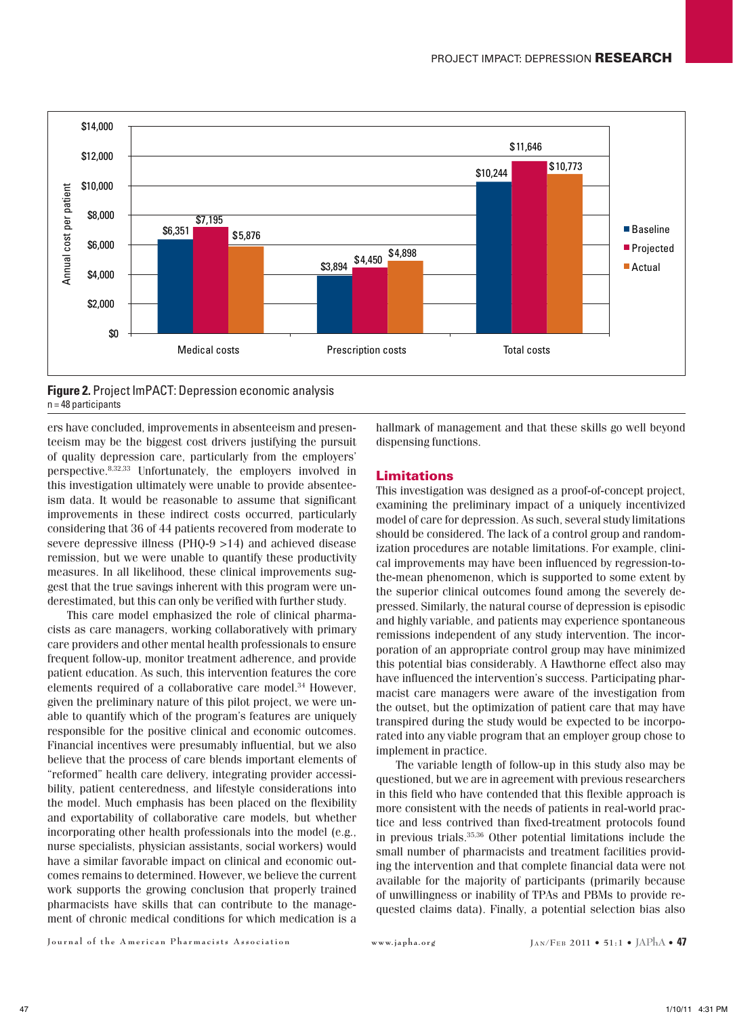

**Figure 2.** Project ImPACT: Depression economic analysis  $n = 48$  participants

ers have concluded, improvements in absenteeism and presenteeism may be the biggest cost drivers justifying the pursuit of quality depression care, particularly from the employers' perspective.8,32,33 Unfortunately, the employers involved in this investigation ultimately were unable to provide absenteeism data. It would be reasonable to assume that significant improvements in these indirect costs occurred, particularly considering that 36 of 44 patients recovered from moderate to severe depressive illness (PHQ-9 >14) and achieved disease remission, but we were unable to quantify these productivity measures. In all likelihood, these clinical improvements suggest that the true savings inherent with this program were underestimated, but this can only be verified with further study.

This care model emphasized the role of clinical pharmacists as care managers, working collaboratively with primary care providers and other mental health professionals to ensure frequent follow-up, monitor treatment adherence, and provide patient education. As such, this intervention features the core elements required of a collaborative care model.34 However, given the preliminary nature of this pilot project, we were unable to quantify which of the program's features are uniquely responsible for the positive clinical and economic outcomes. Financial incentives were presumably influential, but we also believe that the process of care blends important elements of "reformed" health care delivery, integrating provider accessibility, patient centeredness, and lifestyle considerations into the model. Much emphasis has been placed on the flexibility and exportability of collaborative care models, but whether incorporating other health professionals into the model (e.g., nurse specialists, physician assistants, social workers) would have a similar favorable impact on clinical and economic outcomes remains to determined. However, we believe the current work supports the growing conclusion that properly trained pharmacists have skills that can contribute to the management of chronic medical conditions for which medication is a hallmark of management and that these skills go well beyond dispensing functions.

## Limitations

This investigation was designed as a proof-of-concept project, examining the preliminary impact of a uniquely incentivized model of care for depression. As such, several study limitations should be considered. The lack of a control group and randomization procedures are notable limitations. For example, clinical improvements may have been influenced by regression-tothe-mean phenomenon, which is supported to some extent by the superior clinical outcomes found among the severely depressed. Similarly, the natural course of depression is episodic and highly variable, and patients may experience spontaneous remissions independent of any study intervention. The incorporation of an appropriate control group may have minimized this potential bias considerably. A Hawthorne effect also may have influenced the intervention's success. Participating pharmacist care managers were aware of the investigation from the outset, but the optimization of patient care that may have transpired during the study would be expected to be incorporated into any viable program that an employer group chose to implement in practice.

The variable length of follow-up in this study also may be questioned, but we are in agreement with previous researchers in this field who have contended that this flexible approach is more consistent with the needs of patients in real-world practice and less contrived than fixed-treatment protocols found in previous trials.35,36 Other potential limitations include the small number of pharmacists and treatment facilities providing the intervention and that complete financial data were not available for the majority of participants (primarily because of unwillingness or inability of TPAs and PBMs to provide requested claims data). Finally, a potential selection bias also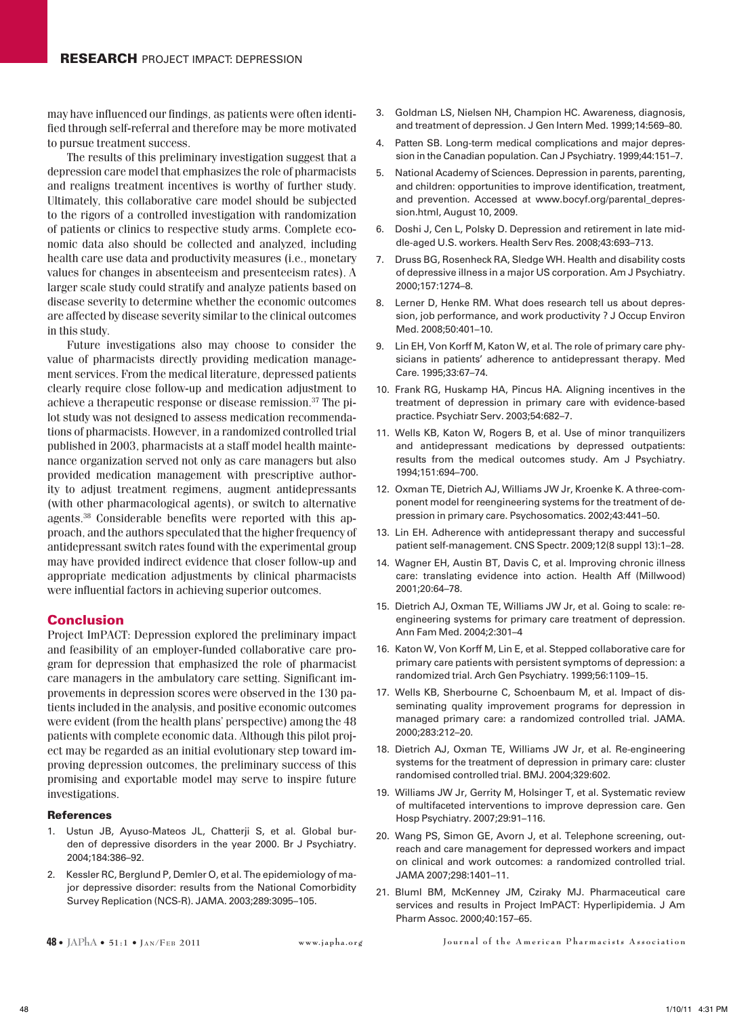may have influenced our findings, as patients were often identified through self-referral and therefore may be more motivated to pursue treatment success.

The results of this preliminary investigation suggest that a depression care model that emphasizes the role of pharmacists and realigns treatment incentives is worthy of further study. Ultimately, this collaborative care model should be subjected to the rigors of a controlled investigation with randomization of patients or clinics to respective study arms. Complete economic data also should be collected and analyzed, including health care use data and productivity measures (i.e., monetary values for changes in absenteeism and presenteeism rates). A larger scale study could stratify and analyze patients based on disease severity to determine whether the economic outcomes are affected by disease severity similar to the clinical outcomes in this study.

Future investigations also may choose to consider the value of pharmacists directly providing medication management services. From the medical literature, depressed patients clearly require close follow-up and medication adjustment to achieve a therapeutic response or disease remission.37 The pilot study was not designed to assess medication recommendations of pharmacists. However, in a randomized controlled trial published in 2003, pharmacists at a staff model health maintenance organization served not only as care managers but also provided medication management with prescriptive authority to adjust treatment regimens, augment antidepressants (with other pharmacological agents), or switch to alternative agents.38 Considerable benefits were reported with this approach, and the authors speculated that the higher frequency of antidepressant switch rates found with the experimental group may have provided indirect evidence that closer follow-up and appropriate medication adjustments by clinical pharmacists were influential factors in achieving superior outcomes.

## Conclusion

Project ImPACT: Depression explored the preliminary impact and feasibility of an employer-funded collaborative care program for depression that emphasized the role of pharmacist care managers in the ambulatory care setting. Significant improvements in depression scores were observed in the 130 patients included in the analysis, and positive economic outcomes were evident (from the health plans' perspective) among the 48 patients with complete economic data. Although this pilot project may be regarded as an initial evolutionary step toward improving depression outcomes, the preliminary success of this promising and exportable model may serve to inspire future investigations.

#### **References**

- 1. Ustun JB, Ayuso-Mateos JL, Chatterji S, et al. Global burden of depressive disorders in the year 2000. Br J Psychiatry. 2004;184:386–92.
- 2. Kessler RC, Berglund P, Demler O, et al. The epidemiology of major depressive disorder: results from the National Comorbidity Survey Replication (NCS-R). JAMA. 2003;289:3095–105.
- 
- 3. Goldman LS, Nielsen NH, Champion HC. Awareness, diagnosis, and treatment of depression. J Gen Intern Med. 1999;14:569–80.
- 4. Patten SB. Long-term medical complications and major depression in the Canadian population. Can J Psychiatry. 1999;44:151–7.
- 5. National Academy of Sciences. Depression in parents, parenting, and children: opportunities to improve identification, treatment, and prevention. Accessed at www.bocyf.org/parental\_depression.html, August 10, 2009.
- 6. Doshi J, Cen L, Polsky D. Depression and retirement in late middle-aged U.S. workers. Health Serv Res. 2008;43:693–713.
- 7. Druss BG, Rosenheck RA, Sledge WH. Health and disability costs of depressive illness in a major US corporation. Am J Psychiatry. 2000;157:1274–8.
- 8. Lerner D, Henke RM. What does research tell us about depression, job performance, and work productivity ? J Occup Environ Med. 2008;50:401–10.
- 9. Lin EH, Von Korff M, Katon W, et al. The role of primary care physicians in patients' adherence to antidepressant therapy. Med Care. 1995;33:67–74.
- 10. Frank RG, Huskamp HA, Pincus HA. Aligning incentives in the treatment of depression in primary care with evidence-based practice. Psychiatr Serv. 2003;54:682–7.
- 11. Wells KB, Katon W, Rogers B, et al. Use of minor tranquilizers and antidepressant medications by depressed outpatients: results from the medical outcomes study. Am J Psychiatry. 1994;151:694–700.
- 12. Oxman TE, Dietrich AJ, Williams JW Jr, Kroenke K. A three-component model for reengineering systems for the treatment of depression in primary care. Psychosomatics. 2002;43:441–50.
- 13. Lin EH. Adherence with antidepressant therapy and successful patient self-management. CNS Spectr. 2009;12(8 suppl 13):1–28.
- 14. Wagner EH, Austin BT, Davis C, et al. Improving chronic illness care: translating evidence into action. Health Aff (Millwood) 2001;20:64–78.
- 15. Dietrich AJ, Oxman TE, Williams JW Jr, et al. Going to scale: reengineering systems for primary care treatment of depression. Ann Fam Med. 2004;2:301–4
- 16. Katon W, Von Korff M, Lin E, et al. Stepped collaborative care for primary care patients with persistent symptoms of depression: a randomized trial. Arch Gen Psychiatry. 1999;56:1109–15.
- 17. Wells KB, Sherbourne C, Schoenbaum M, et al. Impact of disseminating quality improvement programs for depression in managed primary care: a randomized controlled trial. JAMA. 2000;283:212–20.
- 18. Dietrich AJ, Oxman TE, Williams JW Jr, et al. Re-engineering systems for the treatment of depression in primary care: cluster randomised controlled trial. BMJ. 2004;329:602.
- 19. Williams JW Jr, Gerrity M, Holsinger T, et al. Systematic review of multifaceted interventions to improve depression care. Gen Hosp Psychiatry. 2007;29:91–116.
- 20. Wang PS, Simon GE, Avorn J, et al. Telephone screening, outreach and care management for depressed workers and impact on clinical and work outcomes: a randomized controlled trial. JAMA 2007;298:1401–11.
- 21. Bluml BM, McKenney JM, Cziraky MJ. Pharmaceutical care services and results in Project ImPACT: Hyperlipidemia. J Am Pharm Assoc. 2000;40:157–65.

**48 •** JAPhA • 51:1 • Jan/FEB 2011 www.japha.org Journal of the American Pharmacists Association